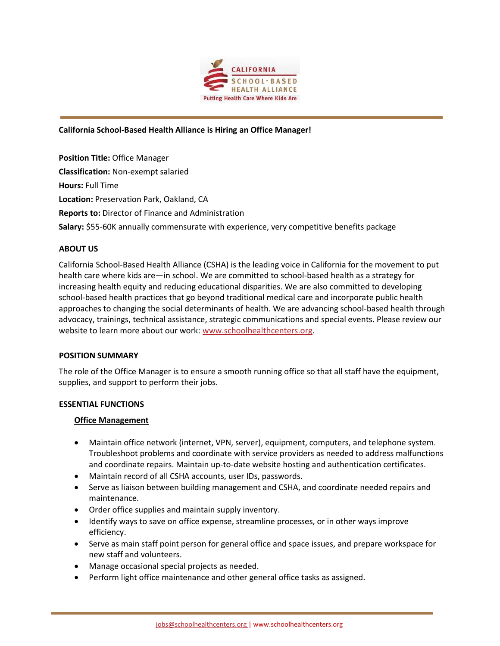

# **California School-Based Health Alliance is Hiring an Office Manager!**

**Position Title:** Office Manager **Classification:** Non-exempt salaried **Hours:** Full Time **Location:** Preservation Park, Oakland, CA **Reports to:** Director of Finance and Administration **Salary:** \$55-60K annually commensurate with experience, very competitive benefits package

# **ABOUT US**

California School-Based Health Alliance (CSHA) is the leading voice in California for the movement to put health care where kids are—in school. We are committed to school-based health as a strategy for increasing health equity and reducing educational disparities. We are also committed to developing school-based health practices that go beyond traditional medical care and incorporate public health approaches to changing the social determinants of health. We are advancing school-based health through advocacy, trainings, technical assistance, strategic communications and special events. Please review our website to learn more about our work: [www.schoolhealthcenters.org.](http://www.schoolhealthcenters.org/)

## **POSITION SUMMARY**

The role of the Office Manager is to ensure a smooth running office so that all staff have the equipment, supplies, and support to perform their jobs.

## **ESSENTIAL FUNCTIONS**

#### **Office Management**

- Maintain office network (internet, VPN, server), equipment, computers, and telephone system. Troubleshoot problems and coordinate with service providers as needed to address malfunctions and coordinate repairs. Maintain up-to-date website hosting and authentication certificates.
- Maintain record of all CSHA accounts, user IDs, passwords.
- Serve as liaison between building management and CSHA, and coordinate needed repairs and maintenance.
- Order office supplies and maintain supply inventory.
- Identify ways to save on office expense, streamline processes, or in other ways improve efficiency.
- Serve as main staff point person for general office and space issues, and prepare workspace for new staff and volunteers.
- Manage occasional special projects as needed.
- Perform light office maintenance and other general office tasks as assigned.